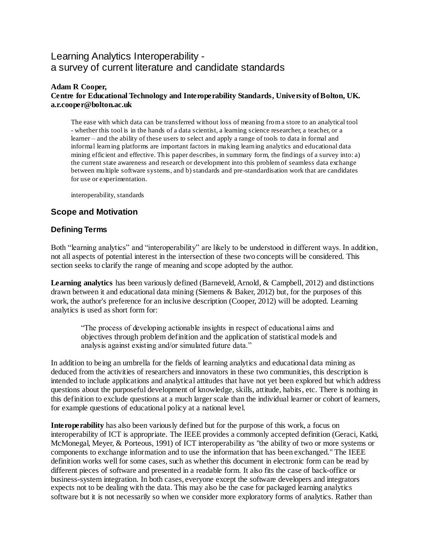# Learning Analytics Interoperability a survey of current literature and candidate standards

#### **Adam R Cooper, Centre for Educational Technology and Interoperability Standards, University of Bolton, UK. a.r.cooper@bolton.ac.uk**

The ease with which data can be transferred without loss of meaning from a store to an analytical tool - whether this tool is in the hands of a data scientist, a learning science researcher, a teacher, or a learner – and the ability of these users to select and apply a range of tools to data in formal and informal learning platforms are important factors in making learning analytics and educational data mining efficient and effective. This paper describes, in summary form, the findings of a survey into: a) the current state awareness and research or development into this problem of seamless data exchange between multiple software systems, and b) standards and pre-standardisation work that are candidates for use or experimentation.

interoperability, standards

# **Scope and Motivation**

### **Defining Terms**

Both "learning analytics" and "interoperability" are likely to be understood in different ways. In addition, not all aspects of potential interest in the intersection of these two concepts will be considered. This section seeks to clarify the range of meaning and scope adopted by the author.

**Learning analytics** has been variously defined (Barneveld, Arnold, & Campbell, 2012) and distinctions drawn between it and educational data mining (Siemens & Baker, 2012) but, for the purposes of this work, the author's preference for an inclusive description (Cooper, 2012) will be adopted. Learning analytics is used as short form for:

"The process of developing actionable insights in respect of educational aims and objectives through problem definition and the application of statistical models and analysis against existing and/or simulated future data."

In addition to being an umbrella for the fields of learning analytics and educational data mining as deduced from the activities of researchers and innovators in these two communities, this description is intended to include applications and analytical attitudes that have not yet been explored but which address questions about the purposeful development of knowledge, skills, attitude, habits, etc. There is nothing in this definition to exclude questions at a much larger scale than the individual learner or cohort of learners, for example questions of educational policy at a national level.

**Interoperability** has also been variously defined but for the purpose of this work, a focus on interoperability of ICT is appropriate. The IEEE provides a commonly accepted definition (Geraci, Katki, McMonegal, Meyer, & Porteous, 1991) of ICT interoperability as "the ability of two or more systems or components to exchange information and to use the information that has been exchanged." The IEEE definition works well for some cases, such as whether this document in electronic form can be read by different pieces of software and presented in a readable form. It also fits the case of back-office or business-system integration. In both cases, everyone except the software developers and integrators expects not to be dealing with the data. This may also be the case for packaged learning analytics software but it is not necessarily so when we consider more exploratory forms of analytics. Rather than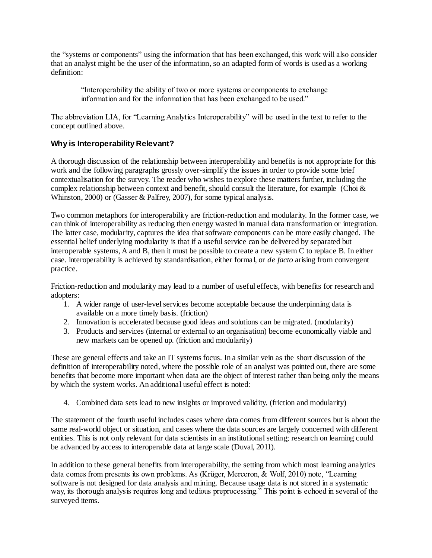the "systems or components" using the information that has been exchanged, this work will also consider that an analyst might be the user of the information, so an adapted form of words is used as a working definition:

"Interoperability the ability of two or more systems or components to exchange information and for the information that has been exchanged to be used."

The abbreviation LIA, for "Learning Analytics Interoperability" will be used in the text to refer to the concept outlined above.

# **Why is Interoperability Relevant?**

A thorough discussion of the relationship between interoperability and benefits is not appropriate for this work and the following paragraphs grossly over-simplify the issues in order to provide some brief contextualisation for the survey. The reader who wishes to explore these matters further, including the complex relationship between context and benefit, should consult the literature, for example (Choi  $\&$ Whinston, 2000) or (Gasser & Palfrey, 2007), for some typical analysis.

Two common metaphors for interoperability are friction-reduction and modularity. In the former case, we can think of interoperability as reducing then energy wasted in manual data transformation or integration. The latter case, modularity, captures the idea that software components can be more easily changed. The essential belief underlying modularity is that if a useful service can be delivered by separated but interoperable systems, A and B, then it must be possible to create a new system C to replace B. In either case. interoperability is achieved by standardisation, either formal, or *de facto* arising from convergent practice.

Friction-reduction and modularity may lead to a number of useful effects, with benefits for research and adopters:

- 1. A wider range of user-level services become acceptable because the underpinning data is available on a more timely basis. (friction)
- 2. Innovation is accelerated because good ideas and solutions can be migrated. (modularity)
- 3. Products and services (internal or external to an organisation) become economically viable and new markets can be opened up. (friction and modularity)

These are general effects and take an IT systems focus. In a similar vein as the short discussion of the definition of interoperability noted, where the possible role of an analyst was pointed out, there are some benefits that become more important when data are the object of interest rather than being only the means by which the system works. An additional useful effect is noted:

4. Combined data sets lead to new insights or improved validity. (friction and modularity)

The statement of the fourth useful includes cases where data comes from different sources but is about the same real-world object or situation, and cases where the data sources are largely concerned with different entities. This is not only relevant for data scientists in an institutional setting; research on learning could be advanced by access to interoperable data at large scale (Duval, 2011).

In addition to these general benefits from interoperability, the setting from which most learning analytics data comes from presents its own problems. As (Krüger, Merceron, & Wolf, 2010) note, "Learning software is not designed for data analysis and mining. Because usage data is not stored in a systematic way, its thorough analysis requires long and tedious preprocessing." This point is echoed in several of the surveyed items.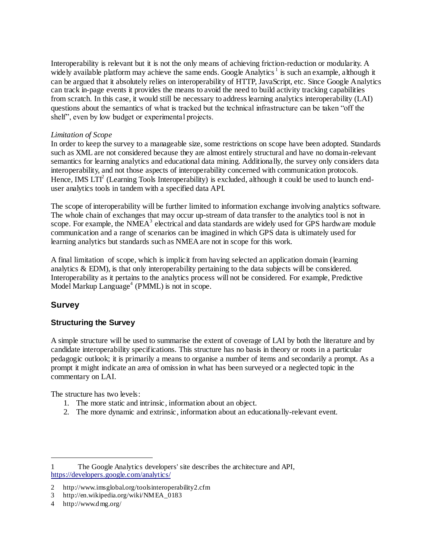Interoperability is relevant but it is not the only means of achieving friction-reduction or modularity. A widely available platform may achieve the same ends. Google Analytics<sup>1</sup> is such an example, although it can be argued that it absolutely relies on interoperability of HTTP, JavaScript, etc. Since Google Analytics can track in-page events it provides the means to avoid the need to build activity tracking capabilities from scratch. In this case, it would still be necessary to address learning analytics interoperability (LAI) questions about the semantics of what is tracked but the technical infrastructure can be taken "off the shelf", even by low budget or experimental projects.

#### *Limitation of Scope*

In order to keep the survey to a manageable size, some restrictions on scope have been adopted. Standards such as XML are not considered because they are almost entirely structural and have no domain-relevant semantics for learning analytics and educational data mining. Additionally, the survey only considers data interoperability, and not those aspects of interoperability concerned with communication protocols. Hence, IMS LTI<sup>2</sup> (Learning Tools Interoperability) is excluded, although it could be used to launch enduser analytics tools in tandem with a specified data API.

The scope of interoperability will be further limited to information exchange involving analytics software. The whole chain of exchanges that may occur up-stream of data transfer to the analytics tool is not in scope. For example, the NMEA<sup>3</sup> electrical and data standards are widely used for GPS hardware module communication and a range of scenarios can be imagined in which GPS data is ultimately used for learning analytics but standards such as NMEA are not in scope for this work.

A final limitation of scope, which is implicit from having selected an application domain (learning analytics  $\&$  EDM), is that only interoperability pertaining to the data subjects will be considered. Interoperability as it pertains to the analytics process will not be considered. For example, Predictive Model Markup Language 4 (PMML) is not in scope.

# **Survey**

l

# **Structuring the Survey**

A simple structure will be used to summarise the extent of coverage of LAI by both the literature and by candidate interoperability specifications. This structure has no basis in theory or roots in a particular pedagogic outlook; it is primarily a means to organise a number of items and secondarily a prompt. As a prompt it might indicate an area of omission in what has been surveyed or a neglected topic in the commentary on LAI.

The structure has two levels:

- 1. The more static and intrinsic, information about an object.
- 2. The more dynamic and extrinsic, information about an educationally-relevant event.

<sup>1</sup> The Google Analytics developers' site describes the architecture and API, <https://developers.google.com/analytics/>

<sup>2</sup> http://www.imsglobal.org/toolsinteroperability2.cfm

<sup>3</sup> http://en.wikipedia.org/wiki/NMEA\_0183

<sup>4</sup> http://www.dmg.org/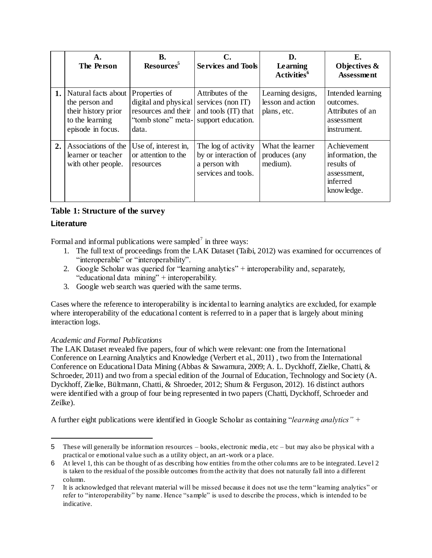|    | A.<br>The Person                                                                                     | <b>B.</b><br>Resources <sup>5</sup>                                                                                              | <b>Services and Tools</b>                                                           | D.<br>Learning<br>Activities <sup>6</sup>             | Е.<br>Objectives &<br><b>Assessment</b>                                                |
|----|------------------------------------------------------------------------------------------------------|----------------------------------------------------------------------------------------------------------------------------------|-------------------------------------------------------------------------------------|-------------------------------------------------------|----------------------------------------------------------------------------------------|
| 1. | Natural facts about<br>the person and<br>their history prior<br>to the learning<br>episode in focus. | Properties of<br>digital and physical services (non IT)<br>resources and their<br>"tomb stone" meta- support education.<br>data. | Attributes of the<br>and tools (IT) that                                            | Learning designs,<br>lesson and action<br>plans, etc. | Intended learning<br>outcomes.<br>Attributes of an<br>assessment<br>instrument.        |
| 2. | Associations of the<br>learner or teacher<br>with other people.                                      | Use of, interest in,<br>or attention to the<br>resources                                                                         | The log of activity<br>by or interaction of<br>a person with<br>services and tools. | What the learner<br>produces (any<br>medium).         | Achievement<br>information, the<br>results of<br>assessment,<br>inferred<br>knowledge. |

# **Table 1: Structure of the survey**

# **Literature**

l

Formal and informal publications were sampled<sup>7</sup> in three ways:

- 1. The full text of proceedings from the LAK Dataset (Taibi, 2012) was examined for occurrences of "interoperable" or "interoperability".
- 2. Google Scholar was queried for "learning analytics" + interoperability and, separately, "educational data mining" + interoperability.
- 3. Google web search was queried with the same terms.

Cases where the reference to interoperability is incidental to learning analytics are excluded, for example where interoperability of the educational content is referred to in a paper that is largely about mining interaction logs.

### *Academic and Formal Publications*

The LAK Dataset revealed five papers, four of which were relevant: one from the International Conference on Learning Analytics and Knowledge (Verbert et al., 2011) , two from the International Conference on Educational Data Mining (Abbas & Sawamura, 2009; A. L. Dyckhoff, Zielke, Chatti, & Schroeder, 2011) and two from a special edition of the Journal of Education, Technology and Society (A. Dyckhoff, Zielke, Bültmann, Chatti, & Shroeder, 2012; Shum & Ferguson, 2012). 16 distinct authors were identified with a group of four being represented in two papers (Chatti, Dyckhoff, Schroeder and Zeilke).

A further eight publications were identified in Google Scholar as containing "*learning analytics" +* 

<sup>5</sup> These will generally be information resources – books, electronic media, etc – but may also be physical with a practical or emotional value such as a utility object, an art-work or a place.

<sup>6</sup> At level 1, this can be thought of as describing how entities from the other columns are to be integrated. Level 2 is taken to the residual of the possible outcomes from the activity that does not naturally fall into a different column.

<sup>7</sup> It is acknowledged that relevant material will be missed because it does not use the term "learning analytics" or refer to "interoperability" by name. Hence "sample" is used to describe the process, which is intended to be indicative.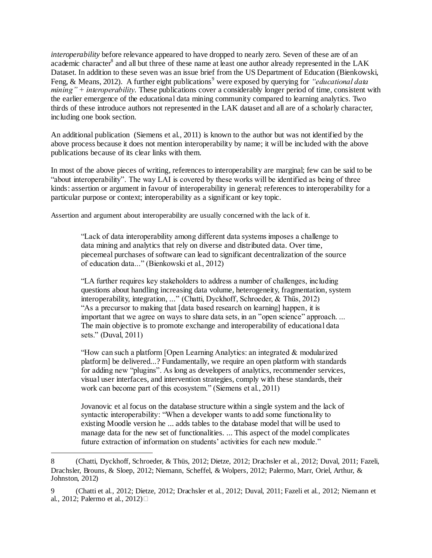*interoperability* before relevance appeared to have dropped to nearly zero. Seven of these are of an academic character<sup>8</sup> and all but three of these name at least one author already represented in the LAK Dataset. In addition to these seven was an issue brief from the US Department of Education (Bienkowski, Feng, & Means, 2012). A further eight publications<sup>9</sup> were exposed by querying for *"educational data mining" + interoperability*. These publications cover a considerably longer period of time, consistent with the earlier emergence of the educational data mining community compared to learning analytics. Two thirds of these introduce authors not represented in the LAK dataset and all are of a scholarly character, including one book section.

An additional publication (Siemens et al., 2011) is known to the author but was not identified by the above process because it does not mention interoperability by name; it will be included with the above publications because of its clear links with them.

In most of the above pieces of writing, references to interoperability are marginal; few can be said to be "about interoperability". The way LAI is covered by these works will be identified as being of three kinds: assertion or argument in favour of interoperability in general; references to interoperability for a particular purpose or context; interoperability as a significant or key topic.

Assertion and argument about interoperability are usually concerned with the lack of it.

"Lack of data interoperability among different data systems imposes a challenge to data mining and analytics that rely on diverse and distributed data. Over time, piecemeal purchases of software can lead to significant decentralization of the source of education data..." (Bienkowski et al., 2012)

"LA further requires key stakeholders to address a number of challenges, including questions about handling increasing data volume, heterogeneity, fragmentation, system interoperability, integration, ..." (Chatti, Dyckhoff, Schroeder, & Thüs, 2012) "As a precursor to making that [data based research on learning] happen, it is important that we agree on ways to share data sets, in an "open science" approach. ... The main objective is to promote exchange and interoperability of educational data sets." (Duval, 2011)

"How can such a platform [Open Learning Analytics: an integrated & modularized platform] be delivered...? Fundamentally, we require an open platform with standards for adding new "plugins". As long as developers of analytics, recommender services, visual user interfaces, and intervention strategies, comply with these standards, their work can become part of this ecosystem." (Siemens et al., 2011)

Jovanovic et al focus on the database structure within a single system and the lack of syntactic interoperability: "When a developer wants to add some functionality to existing Moodle version he ... adds tables to the database model that will be used to manage data for the new set of functionalities. ... This aspect of the model complicates future extraction of information on students' activities for each new module."

l

<sup>8</sup> (Chatti, Dyckhoff, Schroeder, & Thüs, 2012; Dietze, 2012; Drachsler et al., 2012; Duval, 2011; Fazeli, Drachsler, Brouns, & Sloep, 2012; Niemann, Scheffel, & Wolpers, 2012; Palermo, Marr, Oriel, Arthur, & Johnston, 2012)

<sup>9</sup> (Chatti et al., 2012; Dietze, 2012; Drachsler et al., 2012; Duval, 2011; Fazeli et al., 2012; Niemann et al., 2012; Palermo et al., 2012)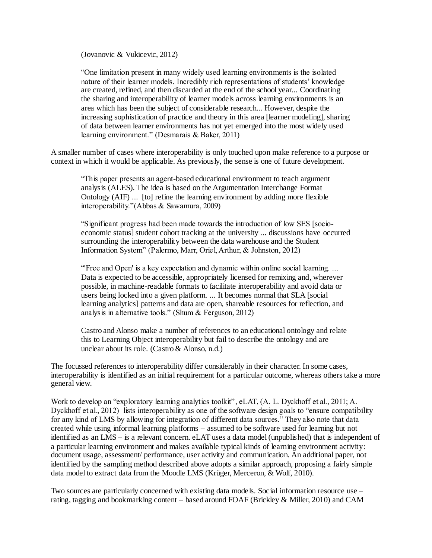(Jovanovic & Vukicevic, 2012)

"One limitation present in many widely used learning environments is the isolated nature of their learner models. Incredibly rich representations of students' knowledge are created, refined, and then discarded at the end of the school year... Coordinating the sharing and interoperability of learner models across learning environments is an area which has been the subject of considerable research... However, despite the increasing sophistication of practice and theory in this area [learner modeling], sharing of data between learner environments has not yet emerged into the most widely used learning environment." (Desmarais & Baker, 2011)

A smaller number of cases where interoperability is only touched upon make reference to a purpose or context in which it would be applicable. As previously, the sense is one of future development.

"This paper presents an agent-based educational environment to teach argument analysis (ALES). The idea is based on the Argumentation Interchange Format Ontology (AIF) ... [to] refine the learning environment by adding more flexible interoperability."(Abbas & Sawamura, 2009)

"Significant progress had been made towards the introduction of low SES [socioeconomic status] student cohort tracking at the university ... discussions have occurred surrounding the interoperability between the data warehouse and the Student Information System" (Palermo, Marr, Oriel, Arthur, & Johnston, 2012)

"'Free and Open' is a key expectation and dynamic within online social learning. ... Data is expected to be accessible, appropriately licensed for remixing and, wherever possible, in machine-readable formats to facilitate interoperability and avoid data or users being locked into a given platform. ... It becomes normal that SLA [social learning analytics] patterns and data are open, shareable resources for reflection, and analysis in alternative tools." (Shum & Ferguson, 2012)

Castro and Alonso make a number of references to an educational ontology and relate this to Learning Object interoperability but fail to describe the ontology and are unclear about its role. (Castro & Alonso, n.d.)

The focussed references to interoperability differ considerably in their character. In some cases, interoperability is identified as an initial requirement for a particular outcome, whereas others take a more general view.

Work to develop an "exploratory learning analytics toolkit", eLAT, (A. L. Dyckhoff et al., 2011; A. Dyckhoff et al., 2012) lists interoperability as one of the software design goals to "ensure compatibility for any kind of LMS by allowing for integration of different data sources." They also note that data created while using informal learning platforms – assumed to be software used for learning but not identified as an LMS – is a relevant concern. eLAT uses a data model (unpublished) that is independent of a particular learning environment and makes available typical kinds of learning environment activity: document usage, assessment/ performance, user activity and communication. An additional paper, not identified by the sampling method described above adopts a similar approach, proposing a fairly simple data model to extract data from the Moodle LMS (Krüger, Merceron, & Wolf, 2010).

Two sources are particularly concerned with existing data models. Social information resource use – rating, tagging and bookmarking content – based around FOAF (Brickley & Miller, 2010) and CAM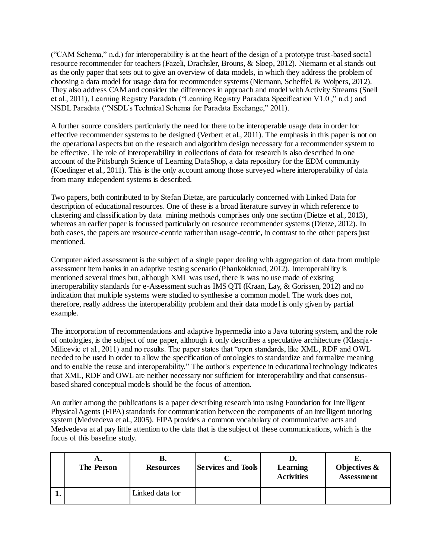("CAM Schema," n.d.) for interoperability is at the heart of the design of a prototype trust-based social resource recommender for teachers (Fazeli, Drachsler, Brouns, & Sloep, 2012). Niemann et al stands out as the only paper that sets out to give an overview of data models, in which they address the problem of choosing a data model for usage data for recommender systems (Niemann, Scheffel, & Wolpers, 2012). They also address CAM and consider the differences in approach and model with Activity Streams (Snell et al., 2011), Learning Registry Paradata ("Learning Registry Paradata Specification V1.0 ," n.d.) and NSDL Paradata ("NSDL's Technical Schema for Paradata Exchange," 2011).

A further source considers particularly the need for there to be interoperable usage data in order for effective recommender systems to be designed (Verbert et al., 2011). The emphasis in this paper is not on the operational aspects but on the research and algorithm design necessary for a recommender system to be effective. The role of interoperability in collections of data for research is also described in one account of the Pittsburgh Science of Learning DataShop, a data repository for the EDM community (Koedinger et al., 2011). This is the only account among those surveyed where interoperability of data from many independent systems is described.

Two papers, both contributed to by Stefan Dietze, are particularly concerned with Linked Data for description of educational resources. One of these is a broad literature survey in which reference to clustering and classification by data mining methods comprises only one section (Dietze et al., 2013), whereas an earlier paper is focussed particularly on resource recommender systems (Dietze, 2012). In both cases, the papers are resource-centric rather than usage-centric, in contrast to the other papers just mentioned.

Computer aided assessment is the subject of a single paper dealing with aggregation of data from multiple assessment item banks in an adaptive testing scenario (Phankokkruad, 2012). Interoperability is mentioned several times but, although XML was used, there is was no use made of existing interoperability standards for e-Assessment such as IMS QTI (Kraan, Lay, & Gorissen, 2012) and no indication that multiple systems were studied to synthesise a common model. The work does not, therefore, really address the interoperability problem and their data mode l is only given by partial example.

The incorporation of recommendations and adaptive hypermedia into a Java tutoring system, and the role of ontologies, is the subject of one paper, although it only describes a speculative architecture (Klasnja-Milicevic et al., 2011) and no results. The paper states that "open standards, like XML, RDF and OWL needed to be used in order to allow the specification of ontologies to standardize and formalize meaning and to enable the reuse and interoperability." The author's experience in educational technology indicates that XML, RDF and OWL are neither necessary nor sufficient for interoperability and that consensusbased shared conceptual models should be the focus of attention.

An outlier among the publications is a paper describing research into using Foundation for Intelligent Physical Agents (FIPA) standards for communication between the components of an intelligent tutoring system (Medvedeva et al., 2005). FIPA provides a common vocabulary of communicative acts and Medvedeva at al pay little attention to the data that is the subject of these communications, which is the focus of this baseline study.

| А.<br>The Person | В.<br><b>Resources</b> | <b>Services and Tools</b> | Learning<br><b>Activities</b> | Objectives &<br><b>Assessment</b> |
|------------------|------------------------|---------------------------|-------------------------------|-----------------------------------|
|                  | Linked data for        |                           |                               |                                   |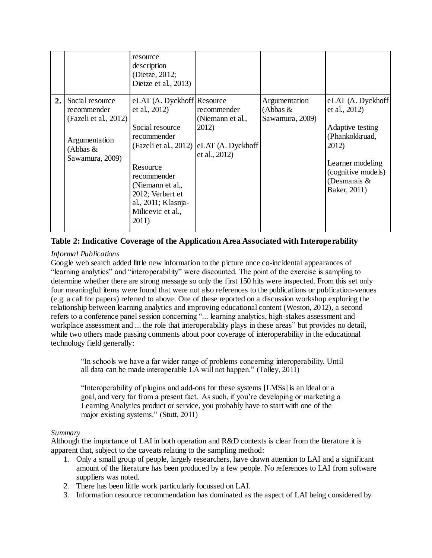|    |                                                                                                           | resource<br>description<br>(Dietze, 2012;<br>Dietze et al., 2013)                                                                                                                                                              |                                                                                |                                                |                                                                                                                                                                |
|----|-----------------------------------------------------------------------------------------------------------|--------------------------------------------------------------------------------------------------------------------------------------------------------------------------------------------------------------------------------|--------------------------------------------------------------------------------|------------------------------------------------|----------------------------------------------------------------------------------------------------------------------------------------------------------------|
| 2. | Social resource<br>recommender<br>(Fazeli et al., 2012)<br>Argumentation<br>(Abbas $&$<br>Sawamura, 2009) | eLAT (A. Dyckhoff Resource<br>et al., 2012)<br>Social resource<br>recommender<br>(Fazeli et al., 2012)<br>Resource<br>recommender<br>(Niemann et al.,<br>2012; Verbert et<br>al., 2011; Klasnja-<br>Milicevic et al.,<br>2011) | recommender<br>(Niemann et al.,<br>2012)<br>eLAT (A. Dyckhoff<br>et al., 2012) | Argumentation<br>(Abbas $&$<br>Sawamura, 2009) | eLAT (A. Dyckhoff<br>et al., 2012)<br>Adaptive testing<br>(Phankokkruad,<br>2012)<br>Learner modeling<br>(cognitive models)<br>(Desmarais $\&$<br>Baker, 2011) |

# **Table 2: Indicative Coverage of the Application Area Associated with Interoperability**

### *Informal Publications*

Google web search added little new information to the picture once co-incidental appearances of "learning analytics" and "interoperability" were discounted. The point of the exercise is sampling to determine whether there are strong message so only the first 150 hits were inspected. From this set only four meaningful items were found that were not also references to the publications or publication-venues (e.g. a call for papers) referred to above. One of these reported on a discussion workshop exploring the relationship between learning analytics and improving educational content (Weston, 2012), a second refers to a conference panel session concerning "... learning analytics, high-stakes assessment and workplace assessment and ... the role that interoperability plays in these areas" but provides no detail, while two others made passing comments about poor coverage of interoperability in the educational technology field generally:

"In schools we have a far wider range of problems concerning interoperability. Until all data can be made interoperable LA will not happen." (Tolley, 2011)

"Interoperability of plugins and add-ons for these systems [LMSs] is an ideal or a goal, and very far from a present fact. As such, if you're developing or marketing a Learning Analytics product or service, you probably have to start with one of the major existing systems." (Stutt, 2011)

#### *Summary*

Although the importance of LAI in both operation and R&D contexts is clear from the literature it is apparent that, subject to the caveats relating to the sampling method:

- 1. Only a small group of people, largely researchers, have drawn attention to LAI and a significant amount of the literature has been produced by a few people. No references to LAI from software suppliers was noted.
- 2. There has been little work particularly focussed on LAI.
- 3. Information resource recommendation has dominated as the aspect of LAI being considered by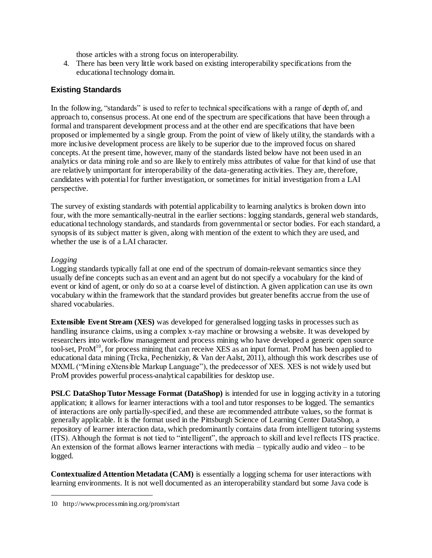those articles with a strong focus on interoperability.

4. There has been very little work based on existing interoperability specifications from the educational technology domain.

# **Existing Standards**

In the following, "standards" is used to refer to technical specifications with a range of depth of, and approach to, consensus process. At one end of the spectrum are specifications that have been through a formal and transparent development process and at the other end are specifications that have been proposed or implemented by a single group. From the point of view of likely utility, the standards with a more inclusive development process are likely to be superior due to the improved focus on shared concepts. At the present time, however, many of the standards listed below have not been used in an analytics or data mining role and so are likely to entirely miss attributes of value for that kind of use that are relatively unimportant for interoperability of the data-generating activities. They are, therefore, candidates with potential for further investigation, or sometimes for initial investigation from a LAI perspective.

The survey of existing standards with potential applicability to learning analytics is broken down into four, with the more semantically-neutral in the earlier sections: logging standards, general web standards, educational technology standards, and standards from governmental or sector bodies. For each standard, a synopsis of its subject matter is given, along with mention of the extent to which they are used, and whether the use is of a LAI character.

### *Logging*

l

Logging standards typically fall at one end of the spectrum of domain-relevant semantics since they usually define concepts such as an event and an agent but do not specify a vocabulary for the kind of event or kind of agent, or only do so at a coarse level of distinction. A given application can use its own vocabulary within the framework that the standard provides but greater benefits accrue from the use of shared vocabularies.

**Extensible Event Stream (XES)** was developed for generalised logging tasks in processes such as handling insurance claims, using a complex x-ray machine or browsing a website. It was developed by researchers into work-flow management and process mining who have developed a generic open source tool-set, ProM<sup>10</sup>, for process mining that can receive XES as an input format. ProM has been applied to educational data mining (Trcka, Pechenizkiy, & Van der Aalst, 2011), although this work describes use of MXML ("Mining eXtensible Markup Language"), the predecessor of XES. XES is not widely used but ProM provides powerful process-analytical capabilities for desktop use.

**PSLC DataShop Tutor Message Format (DataShop)** is intended for use in logging activity in a tutoring application; it allows for learner interactions with a tool and tutor responses to be logged. The semantics of interactions are only partially-specified, and these are recommended attribute values, so the format is generally applicable. It is the format used in the Pittsburgh Science of Learning Center DataShop, a repository of learner interaction data, which predominantly contains data from intelligent tutoring systems (ITS). Although the format is not tied to "intelligent", the approach to skill and level reflects ITS practice. An extension of the format allows learner interactions with media – typically audio and video – to be logged.

**Contextualized Attention Metadata (CAM)** is essentially a logging schema for user interactions with learning environments. It is not well documented as an interoperability standard but some Java code is

<sup>10</sup> http://www.processmining.org/prom/start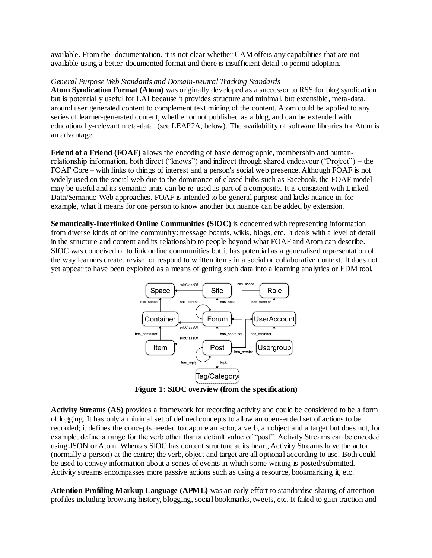available. From the documentation, it is not clear whether CAM offers any capabilities that are not available using a better-documented format and there is insufficient detail to permit adoption.

#### *General Purpose Web Standards and Domain-neutral Tracking Standards*

**Atom Syndication Format (Atom)** was originally developed as a successor to RSS for blog syndication but is potentially useful for LAI because it provides structure and minimal, but extensible, meta-data. around user generated content to complement text mining of the content. Atom could be applied to any series of learner-generated content, whether or not published as a blog, and can be extended with educationally-relevant meta-data. (see LEAP2A, below). The availability of software libraries for Atom is an advantage.

**Friend of a Friend (FOAF)** allows the encoding of basic demographic, membership and humanrelationship information, both direct ("knows") and indirect through shared endeavour ("Project") – the FOAF Core – with links to things of interest and a person's social web presence. Although FOAF is not widely used on the social web due to the dominance of closed hubs such as Facebook, the FOAF model may be useful and its semantic units can be re-used as part of a composite. It is consistent with Linked-Data/Semantic-Web approaches. FOAF is intended to be general purpose and lacks nuance in, for example, what it means for one person to know another but nuance can be added by extension.

**Semantically-Interlinked Online Communities (SIOC)** is concerned with representing information from diverse kinds of online community: message boards, wikis, blogs, etc. It deals with a level of detail in the structure and content and its relationship to people beyond what FOAF and Atom can describe. SIOC was conceived of to link online communities but it has potential as a generalised representation of the way learners create, revise, or respond to written items in a social or collaborative context. It does not yet appear to have been exploited as a means of getting such data into a learning analytics or EDM tool.



**Figure 1: SIOC overview (from the specification)**

**Activity Streams (AS)** provides a framework for recording activity and could be considered to be a form of logging. It has only a minimal set of defined concepts to allow an open-ended set of actions to be recorded; it defines the concepts needed to capture an actor, a verb, an object and a target but does not, for example, define a range for the verb other than a default value of "post". Activity Streams can be encoded using JSON or Atom. Whereas SIOC has content structure at its heart, Activity Streams have the actor (normally a person) at the centre; the verb, object and target are all optional according to use. Both could be used to convey information about a series of events in which some writing is posted/submitted. Activity streams encompasses more passive actions such as using a resource, bookmarking it, etc.

**Attention Profiling Markup Language (APML)** was an early effort to standardise sharing of attention profiles including browsing history, blogging, social bookmarks, tweets, etc. It failed to gain traction and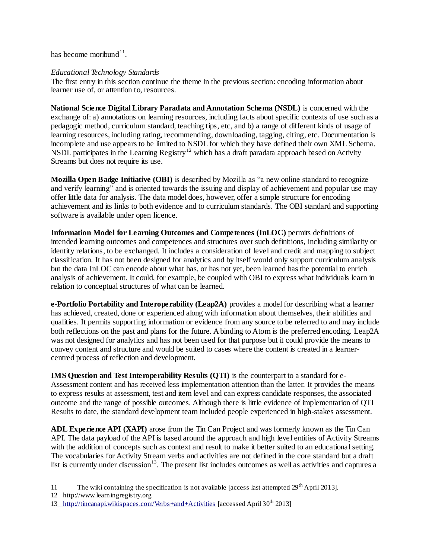has become moribund $11$ .

#### *Educational Technology Standards*

The first entry in this section continue the theme in the previous section: encoding information about learner use of, or attention to, resources.

**National Science Digital Library Paradata and Annotation Schema (NSDL)** is concerned with the exchange of: a) annotations on learning resources, including facts about specific contexts of use such as a pedagogic method, curriculum standard, teaching tips, etc, and b) a range of different kinds of usage of learning resources, including rating, recommending, downloading, tagging, citing, etc. Documentation is incomplete and use appears to be limited to NSDL for which they have defined their own XML Schema. NSDL participates in the Learning Registry<sup>12</sup> which has a draft paradata approach based on Activity Streams but does not require its use.

**Mozilla Open Badge Initiative (OBI)** is described by Mozilla as "a new online standard to recognize and verify learning" and is oriented towards the issuing and display of achievement and popular use may offer little data for analysis. The data model does, however, offer a simple structure for encoding achievement and its links to both evidence and to curriculum standards. The OBI standard and supporting software is available under open licence.

**Information Model for Learning Outcomes and Competences (InLOC)** permits definitions of intended learning outcomes and competences and structures over such definitions, including similarity or identity relations, to be exchanged. It includes a consideration of level and credit and mapping to subject classification. It has not been designed for analytics and by itself would only support curriculum analysis but the data InLOC can encode about what has, or has not yet, been learned has the potential to enrich analysis of achievement. It could, for example, be coupled with OBI to express what individuals learn in relation to conceptual structures of what can be learned.

**e-Portfolio Portability and Interoperability (Leap2A)** provides a model for describing what a learner has achieved, created, done or experienced along with information about themselves, their abilities and qualities. It permits supporting information or evidence from any source to be referred to and may include both reflections on the past and plans for the future. A binding to Atom is the preferred encoding. Leap2A was not designed for analytics and has not been used for that purpose but it could provide the means to convey content and structure and would be suited to cases where the content is created in a learnercentred process of reflection and development.

**IMS Question and Test Interoperability Results (QTI)** is the counterpart to a standard for e-Assessment content and has received less implementation attention than the latter. It provides the means to express results at assessment, test and item level and can express candidate responses, the associated outcome and the range of possible outcomes. Although there is little evidence of implementation of QTI Results to date, the standard development team included people experienced in high-stakes assessment.

**ADL Experience API (XAPI)** arose from the Tin Can Project and was formerly known as the Tin Can API. The data payload of the API is based around the approach and high level entities of Activity Streams with the addition of concepts such as context and result to make it better suited to an educational setting. The vocabularies for Activity Stream verbs and activities are not defined in the core standard but a draft list is currently under discussion<sup>13</sup>. The present list includes outcomes as well as activities and captures a

l

<sup>11</sup> The wiki containing the specification is not available [access last attempted  $29<sup>th</sup>$  April 2013].

<sup>12</sup> http://www.learningregistry.org

<sup>13</sup> <http://tincanapi.wikispaces.com/Verbs+and+Activities> [accessed April 30<sup>th</sup> 2013]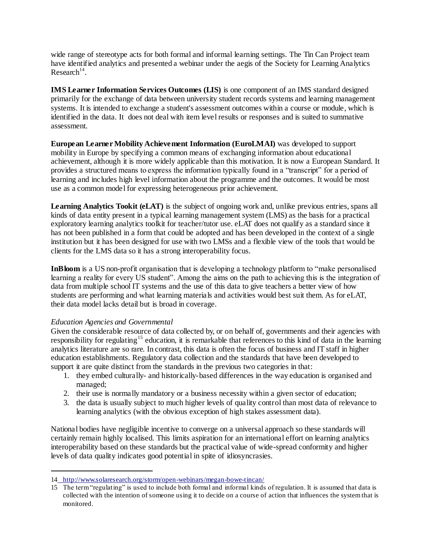wide range of stereotype acts for both formal and informal learning settings. The Tin Can Project team have identified analytics and presented a webinar under the aegis of the Society for Learning Analytics  $Research<sup>14</sup>$ .

**IMS Learner Information Services Outcomes (LIS)** is one component of an IMS standard designed primarily for the exchange of data between university student records systems and learning management systems. It is intended to exchange a student's assessment outcomes within a course or module, which is identified in the data. It does not deal with item level results or responses and is suited to summative assessment.

**European Learner Mobility Achievement Information (EuroLMAI)** was developed to support mobility in Europe by specifying a common means of exchanging information about educational achievement, although it is more widely applicable than this motivation. It is now a European Standard. It provides a structured means to express the information typically found in a "transcript" for a period of learning and includes high level information about the programme and the outcomes. It would be most use as a common model for expressing heterogeneous prior achievement.

**Learning Analytics Tookit (eLAT)** is the subject of ongoing work and, unlike previous entries, spans all kinds of data entity present in a typical learning management system (LMS) as the basis for a practical exploratory learning analytics toolkit for teacher/tutor use. eLAT does not qualify as a standard since it has not been published in a form that could be adopted and has been developed in the context of a single institution but it has been designed for use with two LMSs and a flexible view of the tools that would be clients for the LMS data so it has a strong interoperability focus.

**InBloom** is a US non-profit organisation that is developing a technology platform to "make personalised" learning a reality for every US student". Among the aims on the path to achieving this is the integration of data from multiple school IT systems and the use of this data to give teachers a better view of how students are performing and what learning materials and activities would best suit them. As for eLAT, their data model lacks detail but is broad in coverage.

#### *Education Agencies and Governmental*

l

Given the considerable resource of data collected by, or on behalf of, governments and their agencies with responsibility for regulating<sup>15</sup> education, it is remarkable that references to this kind of data in the learning analytics literature are so rare. In contrast, this data is often the focus of business and IT staff in higher education establishments. Regulatory data collection and the standards that have been developed to support it are quite distinct from the standards in the previous two categories in that:

- 1. they embed culturally- and historically-based differences in the way education is organised and managed;
- 2. their use is normally mandatory or a business necessity within a given sector of education;
- 3. the data is usually subject to much higher levels of quality control than most data of relevance to learning analytics (with the obvious exception of high stakes assessment data).

National bodies have negligible incentive to converge on a universal approach so these standards will certainly remain highly localised. This limits aspiration for an international effort on learning analytics interoperability based on these standards but the practical value of wide-spread conformity and higher levels of data quality indicates good potential in spite of idiosyncrasies.

<sup>14</sup> <http://www.solaresearch.org/storm/open-webinars/megan-bowe-tincan/>

<sup>15</sup> The term "regulating" is used to include both formal and informal kinds of regulation. It is assumed that data is collected with the intention of someone using it to decide on a course of action that influences the system that is monitored.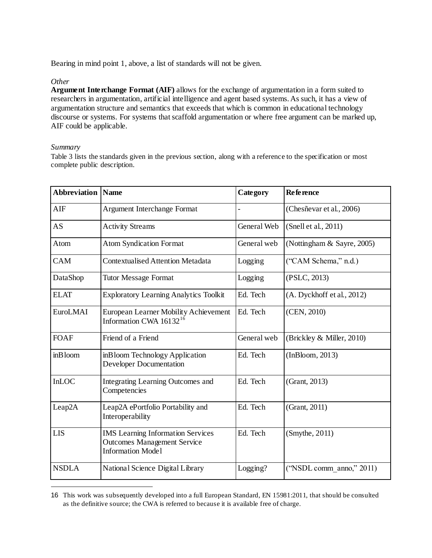Bearing in mind point 1, above, a list of standards will not be given.

#### *Other*

**Argument Interchange Format (AIF)** allows for the exchange of argumentation in a form suited to researchers in argumentation, artificial intelligence and agent based systems. As such, it has a view of argumentation structure and semantics that exceeds that which is common in educational technology discourse or systems. For systems that scaffold argumentation or where free argument can be marked up, AIF could be applicable.

### *Summary*

l

Table 3 lists the standards given in the previous section, along with a reference to the specification or most complete public description.

| <b>Abbreviation</b> | <b>Name</b>                                                                                                | <b>Category</b> | <b>Reference</b>            |
|---------------------|------------------------------------------------------------------------------------------------------------|-----------------|-----------------------------|
| <b>AIF</b>          | Argument Interchange Format                                                                                |                 | (Chesñevar et al., 2006)    |
| <b>AS</b>           | <b>Activity Streams</b>                                                                                    | General Web     | (Snell et al., 2011)        |
| Atom                | <b>Atom Syndication Format</b>                                                                             | General web     | (Nottingham & Sayre, 2005)  |
| CAM                 | <b>Contextualised Attention Metadata</b>                                                                   | Logging         | ("CAM Schema," n.d.)        |
| DataShop            | <b>Tutor Message Format</b>                                                                                | Logging         | (PSLC, 2013)                |
| <b>ELAT</b>         | <b>Exploratory Learning Analytics Toolkit</b>                                                              | Ed. Tech        | (A. Dyckhoff et al., 2012)  |
| EuroLMAI            | European Learner Mobility Achievement<br>Information CWA $16132^{16}$                                      | Ed. Tech        | (CEN, 2010)                 |
| <b>FOAF</b>         | Friend of a Friend                                                                                         | General web     | (Brickley & Miller, 2010)   |
| inBloom             | inBloom Technology Application<br>Developer Documentation                                                  | Ed. Tech        | (InBloom, 2013)             |
| <b>InLOC</b>        | Integrating Learning Outcomes and<br>Competencies                                                          | Ed. Tech        | (Grant, 2013)               |
| Leap2A              | Leap2A ePortfolio Portability and<br>Interoperability                                                      | Ed. Tech        | (Grant, 2011)               |
| <b>LIS</b>          | <b>IMS</b> Learning Information Services<br><b>Outcomes Management Service</b><br><b>Information Model</b> | Ed. Tech        | (Smythe, 2011)              |
| <b>NSDLA</b>        | National Science Digital Library                                                                           | Logging?        | ("NSDL comm anno," $2011$ ) |

<sup>16</sup> This work was subsequently developed into a full European Standard, EN 15981:2011, that should be consulted as the definitive source; the CWA is referred to because it is available free of charge.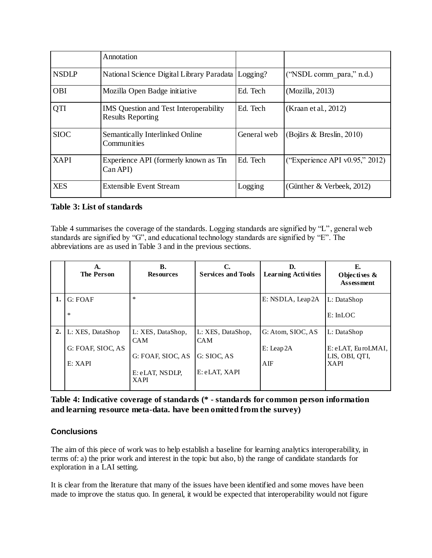|              | Annotation                                                                |             |                                |
|--------------|---------------------------------------------------------------------------|-------------|--------------------------------|
| <b>NSDLP</b> | National Science Digital Library Paradata                                 | Logging?    | ("NSDL comm para," n.d.)       |
| <b>OBI</b>   | Mozilla Open Badge initiative                                             | Ed. Tech    | (Mozilla, 2013)                |
| QTI          | <b>IMS</b> Question and Test Interoperability<br><b>Results Reporting</b> | Ed. Tech    | (Kraan et al., 2012)           |
| <b>SIOC</b>  | Semantically Interlinked Online<br>Communities                            | General web | (Bojārs & Breslin, 2010)       |
| <b>XAPI</b>  | Experience API (formerly known as Tin<br>Can API)                         | Ed. Tech    | ("Experience API v0.95," 2012) |
| <b>XES</b>   | Extensible Event Stream                                                   | Logging     | (Günther & Verbeek, 2012)      |

### **Table 3: List of standards**

Table 4 summarises the coverage of the standards. Logging standards are signified by "L", general web standards are signified by "G", and educational technology standards are signified by "E". The abbreviations are as used in Table 3 and in the previous sections.

|    | А.<br><b>The Person</b> | <b>B.</b><br><b>Resources</b>   | C.<br><b>Services and Tools</b> | D.<br><b>Learning Activities</b> | E.<br>Objectives $\&$<br><b>Assessment</b> |
|----|-------------------------|---------------------------------|---------------------------------|----------------------------------|--------------------------------------------|
| 1. | G: FOAF                 | $\ast$                          |                                 | E: NSDLA, Leap2A                 | L: DataShop                                |
|    | $\ast$                  |                                 |                                 |                                  | E: InLOC                                   |
|    | 2. L: XES, DataShop     | L: XES, DataShop,<br><b>CAM</b> | L: XES, DataShop,<br><b>CAM</b> | G: Atom, SIOC, AS                | L: DataShop                                |
|    | G: FOAF, SIOC, AS       | G: FOAF, SIOC, AS               | G: SIOC, AS                     | $E: \text{Lcap} 2A$              | E: eLAT, EuroLMAI,<br>LIS, OBI, QTI,       |
|    | E: XAPI                 |                                 |                                 | AIF                              | <b>XAPI</b>                                |
|    |                         | E: eLAT, NSDLP,<br><b>XAPI</b>  | E: eLAT, XAPI                   |                                  |                                            |

**Table 4: Indicative coverage of standards (\* - standards for common person information and learning resource meta-data. have been omitted from the survey)**

### **Conclusions**

The aim of this piece of work was to help establish a baseline for learning analytics interoperability, in terms of: a) the prior work and interest in the topic but also, b) the range of candidate standards for exploration in a LAI setting.

It is clear from the literature that many of the issues have been identified and some moves have been made to improve the status quo. In general, it would be expected that interoperability would not figure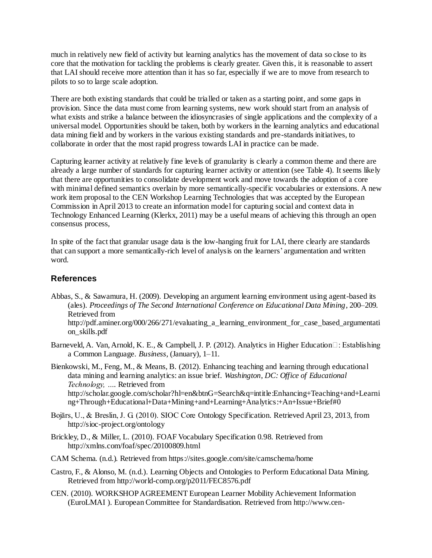much in relatively new field of activity but learning analytics has the movement of data so close to its core that the motivation for tackling the problems is clearly greater. Given this, it is reasonable to assert that LAI should receive more attention than it has so far, especially if we are to move from research to pilots to so to large scale adoption.

There are both existing standards that could be trialled or taken as a starting point, and some gaps in provision. Since the data must come from learning systems, new work should start from an analysis of what exists and strike a balance between the idiosyncrasies of single applications and the complexity of a universal model. Opportunities should be taken, both by workers in the learning analytics and educational data mining field and by workers in the various existing standards and pre-standards initiatives, to collaborate in order that the most rapid progress towards LAI in practice can be made.

Capturing learner activity at relatively fine levels of granularity is clearly a common theme and there are already a large number of standards for capturing learner activity or attention (see Table 4). It seems likely that there are opportunities to consolidate development work and move towards the adoption of a core with minimal defined semantics overlain by more semantically-specific vocabularies or extensions. A new work item proposal to the CEN Workshop Learning Technologies that was accepted by the European Commission in April 2013 to create an information model for capturing social and context data in Technology Enhanced Learning (Klerkx, 2011) may be a useful means of achieving this through an open consensus process,

In spite of the fact that granular usage data is the low-hanging fruit for LAI, there clearly are standards that can support a more semantically-rich level of analysis on the learners' argumentation and written word.

# **References**

- Abbas, S., & Sawamura, H. (2009). Developing an argument learning environment using agent-based its (ales). *Proceedings of The Second International Conference on Educational Data Mining*, 200–209. Retrieved from http://pdf.aminer.org/000/266/271/evaluating\_a\_learning\_environment\_for\_case\_based\_argumentati on\_skills.pdf
- Barneveld, A. Van, Arnold, K. E., & Campbell, J. P. (2012). Analytics in Higher Education $\Box$ : Establishing a Common Language. *Business*, (January), 1–11.

Bienkowski, M., Feng, M., & Means, B. (2012). Enhancing teaching and learning through educational data mining and learning analytics: an issue brief. *Washington, DC: Office of Educational Technology, …*. Retrieved from http://scholar.google.com/scholar?hl=en&btnG=Search&q=intitle:Enhancing+Teaching+and+Learni ng+Through+Educational+Data+Mining+and+Learning+Analytics:+An+Issue+Brief#0

- Bojārs, U., & Breslin, J. G. (2010). SIOC Core Ontology Specification. Retrieved April 23, 2013, from http://sioc-project.org/ontology
- Brickley, D., & Miller, L. (2010). FOAF Vocabulary Specification 0.98. Retrieved from http://xmlns.com/foaf/spec/20100809.html
- CAM Schema. (n.d.). Retrieved from https://sites.google.com/site/camschema/home
- Castro, F., & Alonso, M. (n.d.). Learning Objects and Ontologies to Perform Educational Data Mining. Retrieved from http://world-comp.org/p2011/FEC8576.pdf
- CEN. (2010). WORKSHOP AGREEMENT European Learner Mobility Achievement Information (EuroLMAI ). European Committee for Standardisation. Retrieved from http://www.cen-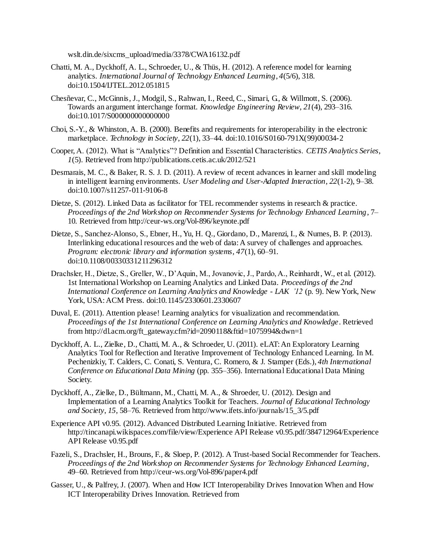wslt.din.de/sixcms\_upload/media/3378/CWA16132.pdf

- Chatti, M. A., Dyckhoff, A. L., Schroeder, U., & Thüs, H. (2012). A reference model for learning analytics. *International Journal of Technology Enhanced Learning*, *4*(5/6), 318. doi:10.1504/IJTEL.2012.051815
- Chesñevar, C., McGinnis, J., Modgil, S., Rahwan, I., Reed, C., Simari, G., & Willmott, S. (2006). Towards an argument interchange format. *Knowledge Engineering Review*, *21*(4), 293–316. doi:10.1017/S000000000000000
- Choi, S.-Y., & Whinston, A. B. (2000). Benefits and requirements for interoperability in the electronic marketplace. *Technology in Society*, *22*(1), 33–44. doi:10.1016/S0160-791X(99)00034-2
- Cooper, A. (2012). What is "Analytics"? Definition and Essential Characteristics. *CETIS Analytics Series*, *1*(5). Retrieved from http://publications.cetis.ac.uk/2012/521
- Desmarais, M. C., & Baker, R. S. J. D. (2011). A review of recent advances in learner and skill modeling in intelligent learning environments. *User Modeling and User-Adapted Interaction*, *22*(1-2), 9–38. doi:10.1007/s11257-011-9106-8
- Dietze, S. (2012). Linked Data as facilitator for TEL recommender systems in research & practice. *Proceedings of the 2nd Workshop on Recommender Systems for Technology Enhanced Learning*, 7– 10. Retrieved from http://ceur-ws.org/Vol-896/keynote.pdf
- Dietze, S., Sanchez-Alonso, S., Ebner, H., Yu, H. Q., Giordano, D., Marenzi, I., & Numes, B. P. (2013). Interlinking educational resources and the web of data: A survey of challenges and approaches. *Program: electronic library and information systems*, *47*(1), 60–91. doi:10.1108/00330331211296312
- Drachsler, H., Dietze, S., Greller, W., D'Aquin, M., Jovanovic, J., Pardo, A., Reinhardt, W., et al. (2012). 1st International Workshop on Learning Analytics and Linked Data. *Proceedings of the 2nd International Conference on Learning Analytics and Knowledge - LAK '12* (p. 9). New York, New York, USA: ACM Press. doi:10.1145/2330601.2330607
- Duval, E. (2011). Attention please! Learning analytics for visualization and recommendation. *Proceedings of the 1st International Conference on Learning Analytics and Knowledge*. Retrieved from http://dl.acm.org/ft\_gateway.cfm?id=2090118&ftid=1075994&dwn=1
- Dyckhoff, A. L., Zielke, D., Chatti, M. A., & Schroeder, U. (2011). eLAT: An Exploratory Learning Analytics Tool for Reflection and Iterative Improvement of Technology Enhanced Learning. In M. Pechenizkiy, T. Calders, C. Conati, S. Ventura, C. Romero, & J. Stamper (Eds.), *4th International Conference on Educational Data Mining* (pp. 355–356). International Educational Data Mining Society.
- Dyckhoff, A., Zielke, D., Bültmann, M., Chatti, M. A., & Shroeder, U. (2012). Design and Implementation of a Learning Analytics Toolkit for Teachers. *Journal of Educational Technology and Society*, *15*, 58–76. Retrieved from http://www.ifets.info/journals/15\_3/5.pdf
- Experience API v0.95. (2012). Advanced Distributed Learning Initiative. Retrieved from http://tincanapi.wikispaces.com/file/view/Experience API Release v0.95.pdf/384712964/Experience API Release v0.95.pdf
- Fazeli, S., Drachsler, H., Brouns, F., & Sloep, P. (2012). A Trust-based Social Recommender for Teachers. *Proceedings of the 2nd Workshop on Recommender Systems for Technology Enhanced Learning*, 49–60. Retrieved from http://ceur-ws.org/Vol-896/paper4.pdf
- Gasser, U., & Palfrey, J. (2007). When and How ICT Interoperability Drives Innovation When and How ICT Interoperability Drives Innovation. Retrieved from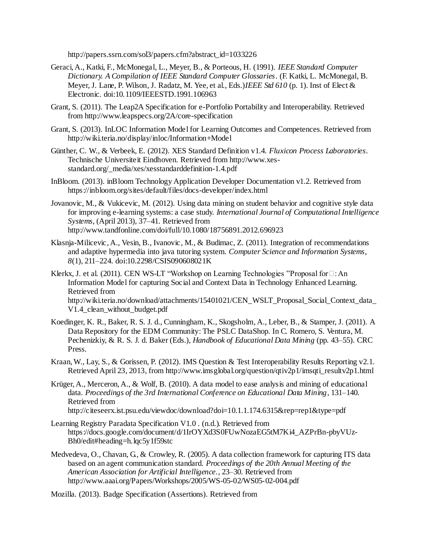http://papers.ssrn.com/sol3/papers.cfm?abstract\_id=1033226

- Geraci, A., Katki, F., McMonegal, L., Meyer, B., & Porteous, H. (1991). *IEEE Standard Computer Dictionary. A Compilation of IEEE Standard Computer Glossaries*. (F. Katki, L. McMonegal, B. Meyer, J. Lane, P. Wilson, J. Radatz, M. Yee, et al., Eds.)*IEEE Std 610* (p. 1). Inst of Elect & Electronic. doi:10.1109/IEEESTD.1991.106963
- Grant, S. (2011). The Leap2A Specification for e-Portfolio Portability and Interoperability. Retrieved from http://www.leapspecs.org/2A/core-specification
- Grant, S. (2013). InLOC Information Model for Learning Outcomes and Competences. Retrieved from http://wiki.teria.no/display/inloc/Information+Model
- Günther, C. W., & Verbeek, E. (2012). XES Standard Definition v1.4. *Fluxicon Process Laboratories*. Technische Universiteit Eindhoven. Retrieved from http://www.xesstandard.org/\_media/xes/xesstandarddefinition-1.4.pdf
- InBloom. (2013). inBloom Technology Application Developer Documentation v1.2. Retrieved from https://inbloom.org/sites/default/files/docs-developer/index.html
- Jovanovic, M., & Vukicevic, M. (2012). Using data mining on student behavior and cognitive style data for improving e-learning systems: a case study. *International Journal of Computational Intelligence Systems*, (April 2013), 37–41. Retrieved from http://www.tandfonline.com/doi/full/10.1080/18756891.2012.696923
- Klasnja-Milicevic, A., Vesin, B., Ivanovic, M., & Budimac, Z. (2011). Integration of recommendations and adaptive hypermedia into java tutoring system. *Computer Science and Information Systems*, *8*(1), 211–224. doi:10.2298/CSIS090608021K
- Klerkx, J. et al. (2011). CEN WS-LT "Workshop on Learning Technologies "Proposal for  $\Box$ : An Information Model for capturing Social and Context Data in Technology Enhanced Learning. Retrieved from http://wiki.teria.no/download/attachments/15401021/CEN\_WSLT\_Proposal\_Social\_Context\_data\_ V1.4\_clean\_without\_budget.pdf
- Koedinger, K. R., Baker, R. S. J. d., Cunningham, K., Skogsholm, A., Leber, B., & Stamper, J. (2011). A Data Repository for the EDM Community: The PSLC DataShop. In C. Romero, S. Ventura, M. Pechenizkiy, & R. S. J. d. Baker (Eds.), *Handbook of Educational Data Mining* (pp. 43–55). CRC Press.
- Kraan, W., Lay, S., & Gorissen, P. (2012). IMS Question & Test Interoperability Results Reporting v2.1. Retrieved April 23, 2013, from http://www.imsglobal.org/question/qtiv2p1/imsqti\_resultv2p1.html
- Krüger, A., Merceron, A., & Wolf, B. (2010). A data model to ease analysis and mining of educational data. *Proceedings of the 3rd International Conference on Educational Data Mining*, 131–140. Retrieved from http://citeseerx.ist.psu.edu/viewdoc/download?doi=10.1.1.174.6315&rep=rep1&type=pdf
- Learning Registry Paradata Specification V1.0 . (n.d.). Retrieved from https://docs.google.com/document/d/1IrOYXd3S0FUwNozaEG5tM7Ki4\_AZPrBn-pbyVUz-Bh0/edit#heading=h.lqc5y1f59stc
- Medvedeva, O., Chavan, G., & Crowley, R. (2005). A data collection framework for capturing ITS data based on an agent communication standard. *Proceedings of the 20th Annual Meeting of the American Association for Artificial Intelligence.*, 23–30. Retrieved from http://www.aaai.org/Papers/Workshops/2005/WS-05-02/WS05-02-004.pdf

Mozilla. (2013). Badge Specification (Assertions). Retrieved from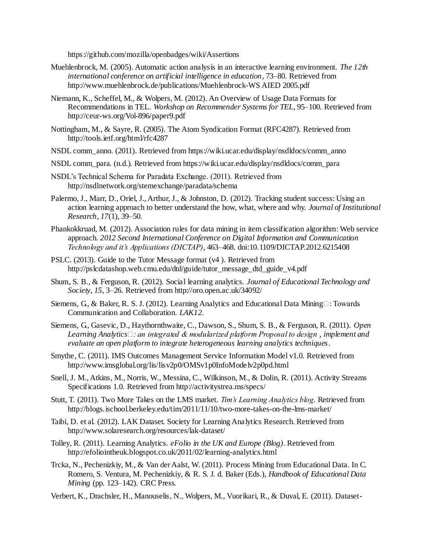https://github.com/mozilla/openbadges/wiki/Assertions

- Muehlenbrock, M. (2005). Automatic action analysis in an interactive learning environment. *The 12th international conference on artificial intelligence in education*, 73–80. Retrieved from http://www.muehlenbrock.de/publications/Muehlenbrock-WS AIED 2005.pdf
- Niemann, K., Scheffel, M., & Wolpers, M. (2012). An Overview of Usage Data Formats for Recommendations in TEL. *Workshop on Recommender Systems for TEL*, 95–100. Retrieved from http://ceur-ws.org/Vol-896/paper9.pdf
- Nottingham, M., & Sayre, R. (2005). The Atom Syndication Format (RFC4287). Retrieved from http://tools.ietf.org/html/rfc4287
- NSDL comm\_anno. (2011). Retrieved from https://wiki.ucar.edu/display/nsdldocs/comm\_anno
- NSDL comm\_para. (n.d.). Retrieved from https://wiki.ucar.edu/display/nsdldocs/comm\_para
- NSDL's Technical Schema for Paradata Exchange. (2011). Retrieved from http://nsdlnetwork.org/stemexchange/paradata/schema
- Palermo, J., Marr, D., Oriel, J., Arthur, J., & Johnston, D. (2012). Tracking student success: Using an action learning approach to better understand the how, what, where and why. *Journal of Institutional Research*, *17*(1), 39–50.
- Phankokkruad, M. (2012). Association rules for data mining in item classification algorithm: Web service approach. *2012 Second International Conference on Digital Information and Communication Technology and it's Applications (DICTAP)*, 463–468. doi:10.1109/DICTAP.2012.6215408
- PSLC. (2013). Guide to the Tutor Message format (v4 ). Retrieved from http://pslcdatashop.web.cmu.edu/dtd/guide/tutor\_message\_dtd\_guide\_v4.pdf
- Shum, S. B., & Ferguson, R. (2012). Social learning analytics. *Journal of Educational Technology and Society*, *15*, 3–26. Retrieved from http://oro.open.ac.uk/34092/
- Siemens, G., & Baker, R. S. J. (2012). Learning Analytics and Educational Data Mining $\Box$ : Towards Communication and Collaboration. *LAK12*.
- Siemens, G., Gasevic, D., Haythornthwaite, C., Dawson, S., Shum, S. B., & Ferguson, R. (2011). *Open Learning Analytics : an integrated & modularized platform Proposal to design , implement and evaluate an open platform to integrate heterogeneous learning analytics techniques*.
- Smythe, C. (2011). IMS Outcomes Management Service Information Model v1.0. Retrieved from http://www.imsglobal.org/lis/lisv2p0/OMSv1p0InfoModelv2p0pd.html
- Snell, J. M., Atkins, M., Norris, W., Messina, C., Wilkinson, M., & Dolin, R. (2011). Activity Streams Specifications 1.0. Retrieved from http://activitystrea.ms/specs/
- Stutt, T. (2011). Two More Takes on the LMS market. *Tim's Learning Analytics blog*. Retrieved from http://blogs.ischool.berkeley.edu/tim/2011/11/10/two-more-takes-on-the-lms-market/
- Taibi, D. et al. (2012). LAK Dataset. Society for Learning Analytics Research. Retrieved from http://www.solaresearch.org/resources/lak-dataset/
- Tolley, R. (2011). Learning Analytics. *eFolio in the UK and Europe (Blog)*. Retrieved from http://efoliointheuk.blogspot.co.uk/2011/02/learning-analytics.html
- Trcka, N., Pechenizkiy, M., & Van der Aalst, W. (2011). Process Mining from Educational Data. In C. Romero, S. Ventura, M. Pechenizkiy, & R. S. J. d. Baker (Eds.), *Handbook of Educational Data Mining* (pp. 123–142). CRC Press.
- Verbert, K., Drachsler, H., Manouselis, N., Wolpers, M., Vuorikari, R., & Duval, E. (2011). Dataset-